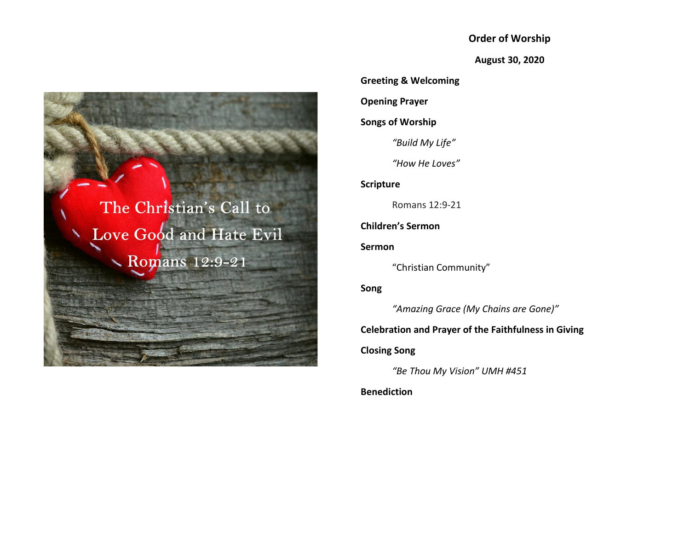**Order of Worship**

**August 30, 2020**

**Greeting & Welcoming**

**Opening Prayer**

**Songs of Worship**

*"Build My Life"*

*"How He Loves"*

**Scripture**

Romans 12:9-21

**Children's Sermon**

**Sermon**

"Christian Community"

**Song**

*"Amazing Grace (My Chains are Gone)"*

# **Celebration and Prayer of the Faithfulness in Giving**

**Closing Song**

*"Be Thou My Vision" UMH #451*

**Benediction**

The Christian's Call to Love Good and Hate Evil  $\searrow$  Romans 12:9-21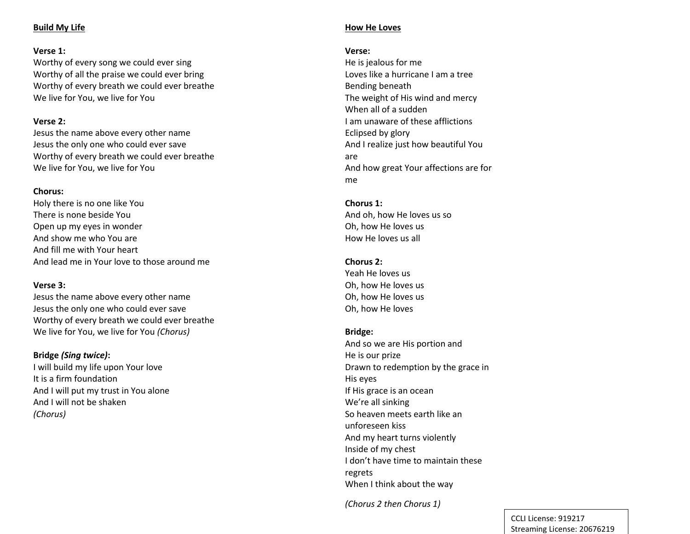## **Build My Life**

### **Verse 1:**

Worthy of every song we could ever sing Worthy of all the praise we could ever bring Worthy of every breath we could ever breathe We live for You, we live for You

## **Verse 2:**

Jesus the name above every other name Jesus the only one who could ever save Worthy of every breath we could ever breathe We live for You, we live for You

### **Chorus:**

Holy there is no one like You There is none beside You Open up my eyes in wonder And show me who You are And fill me with Your heart And lead me in Your love to those around me

### **Verse 3:**

Jesus the name above every other name Jesus the only one who could ever save Worthy of every breath we could ever breathe We live for You, we live for You *(Chorus)*

## **Bridge** *(Sing twice)***:**

I will build my life upon Your love It is a firm foundation And I will put my trust in You alone And I will not be shaken *(Chorus)*

## **How He Loves**

## **Verse:**

He is jealous for me Loves like a hurricane I am a tree Bending beneath The weight of His wind and mercy When all of a sudden I am unaware of these afflictions Eclipsed by glory And I realize just how beautiful You are And how great Your affections are for me

## **Chorus 1:**

And oh, how He loves us so Oh, how He loves us How He loves us all

## **Chorus 2:**

Yeah He loves us Oh, how He loves us Oh, how He loves us Oh, how He loves

## **Bridge:**

And so we are His portion and He is our prize Drawn to redemption by the grace in His eyes If His grace is an ocean We're all sinking So heaven meets earth like an unforeseen kiss And my heart turns violently Inside of my chest I don't have time to maintain these regrets When I think about the way

*(Chorus 2 then Chorus 1)*